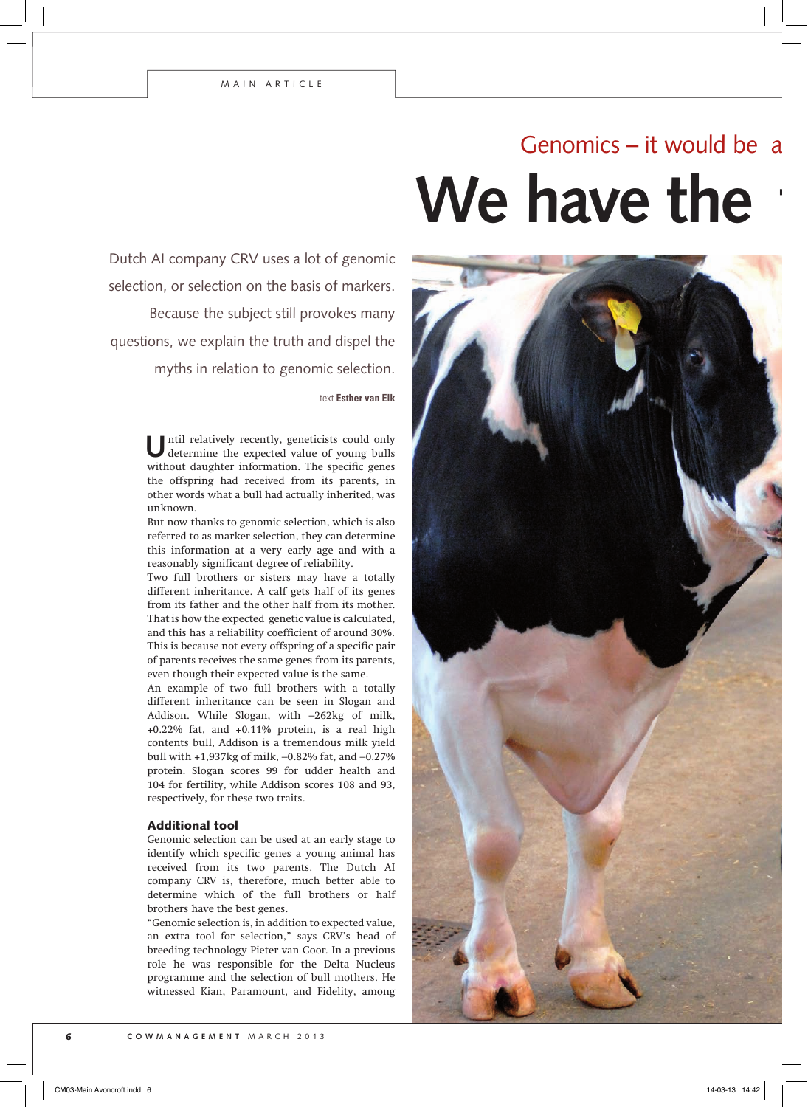## We have the Genomics – it would be

Dutch AI company CRV uses a lot of genomic selection, or selection on the basis of markers.

Because the subject still provokes many questions, we explain the truth and dispel the myths in relation to genomic selection.

text **Esther van Elk**

Until relatively recently, geneticists could only determine the expected value of young bulls without daughter information. The specific genes the offspring had received from its parents, in other words what a bull had actually inherited, was unknown.

But now thanks to genomic selection, which is also referred to as marker selection, they can determine this information at a very early age and with a reasonably significant degree of reliability.

Two full brothers or sisters may have a totally different inheritance. A calf gets half of its genes from its father and the other half from its mother. That is how the expected genetic value is calculated, and this has a reliability coefficient of around 30%. This is because not every offspring of a specific pair of parents receives the same genes from its parents, even though their expected value is the same.

An example of two full brothers with a totally different inheritance can be seen in Slogan and Addison. While Slogan, with –262kg of milk, +0.22% fat, and +0.11% protein, is a real high contents bull, Addison is a tremendous milk yield bull with +1,937kg of milk, –0.82% fat, and –0.27% protein. Slogan scores 99 for udder health and 104 for fertility, while Addison scores 108 and 93, respectively, for these two traits.

#### Additional tool

Genomic selection can be used at an early stage to identify which specific genes a young animal has received from its two parents. The Dutch AI company CRV is, therefore, much better able to determine which of the full brothers or half brothers have the best genes.

"Genomic selection is, in addition to expected value, an extra tool for selection," says CRV's head of breeding technology Pieter van Goor. In a previous role he was responsible for the Delta Nucleus programme and the selection of bull mothers. He witnessed Kian, Paramount, and Fidelity, among

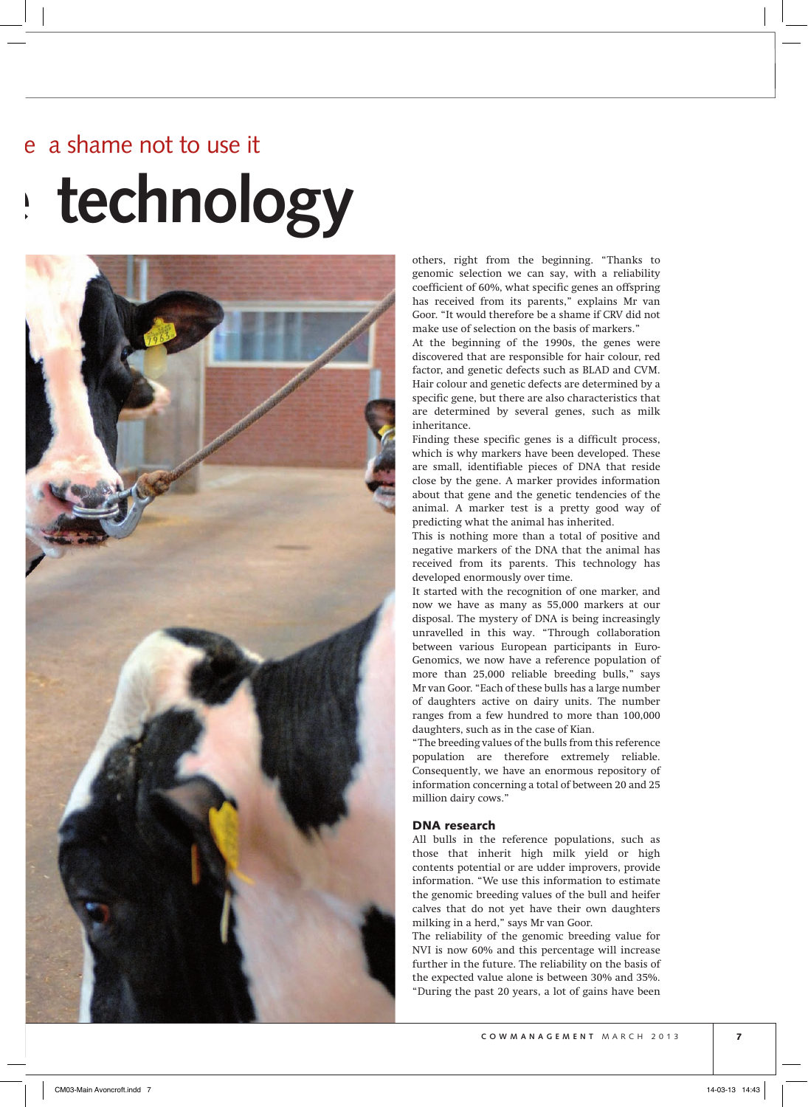# **We have the technology** a shame not to use it



others, right from the beginning. "Thanks to genomic selection we can say, with a reliability coefficient of 60%, what specific genes an offspring has received from its parents," explains Mr van Goor. "It would therefore be a shame if CRV did not make use of selection on the basis of markers."

At the beginning of the 1990s, the genes were discovered that are responsible for hair colour, red factor, and genetic defects such as BLAD and CVM. Hair colour and genetic defects are determined by a specific gene, but there are also characteristics that are determined by several genes, such as milk inheritance.

Finding these specific genes is a difficult process, which is why markers have been developed. These are small, identifiable pieces of DNA that reside close by the gene. A marker provides information about that gene and the genetic tendencies of the animal. A marker test is a pretty good way of predicting what the animal has inherited.

This is nothing more than a total of positive and negative markers of the DNA that the animal has received from its parents. This technology has developed enormously over time.

It started with the recognition of one marker, and now we have as many as 55,000 markers at our disposal. The mystery of DNA is being increasingly unravelled in this way. "Through collaboration between various European participants in Euro-Genomics, we now have a reference population of more than 25,000 reliable breeding bulls," says Mr van Goor. "Each of these bulls has a large number of daughters active on dairy units. The number ranges from a few hundred to more than 100,000 daughters, such as in the case of Kian.

"The breeding values of the bulls from this reference population are therefore extremely reliable. Consequently, we have an enormous repository of information concerning a total of between 20 and 25 million dairy cows."

### DNA research

All bulls in the reference populations, such as those that inherit high milk yield or high contents potential or are udder improvers, provide information. "We use this information to estimate the genomic breeding values of the bull and heifer calves that do not yet have their own daughters milking in a herd," says Mr van Goor.

The reliability of the genomic breeding value for NVI is now 60% and this percentage will increase further in the future. The reliability on the basis of the expected value alone is between 30% and 35%. "During the past 20 years, a lot of gains have been